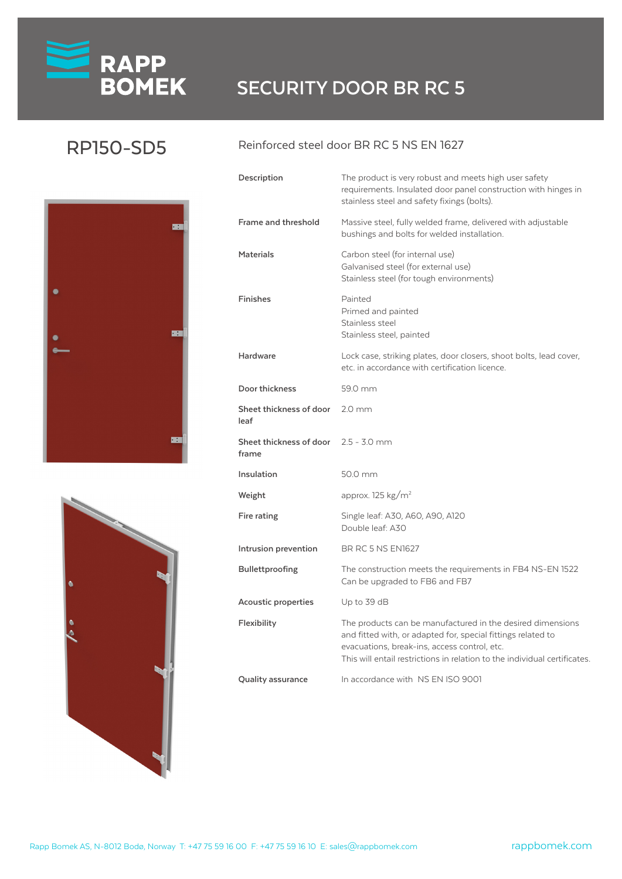# **RAPP**<br>**BOMEK** SECURITY DOOR BR RC 5

### RP150-SD5





#### Reinforced steel door BR RC 5 NS EN 1627

| Description                      | The product is very robust and meets high user safety<br>requirements. Insulated door panel construction with hinges in<br>stainless steel and safety fixings (bolts).                                                                                  |
|----------------------------------|---------------------------------------------------------------------------------------------------------------------------------------------------------------------------------------------------------------------------------------------------------|
| Frame and threshold              | Massive steel, fully welded frame, delivered with adjustable<br>bushings and bolts for welded installation.                                                                                                                                             |
| <b>Materials</b>                 | Carbon steel (for internal use)<br>Galvanised steel (for external use)<br>Stainless steel (for tough environments)                                                                                                                                      |
| <b>Finishes</b>                  | Painted<br>Primed and painted<br>Stainless steel<br>Stainless steel, painted                                                                                                                                                                            |
| Hardware                         | Lock case, striking plates, door closers, shoot bolts, lead cover,<br>etc. in accordance with certification licence.                                                                                                                                    |
| Door thickness                   | 59.0 mm                                                                                                                                                                                                                                                 |
| Sheet thickness of door<br>leaf  | $2.0 \text{ mm}$                                                                                                                                                                                                                                        |
| Sheet thickness of door<br>frame | $2.5 - 3.0$ mm                                                                                                                                                                                                                                          |
| Insulation                       | 50.0 mm                                                                                                                                                                                                                                                 |
| Weight                           | approx. 125 $\text{kg/m}^2$                                                                                                                                                                                                                             |
| Fire rating                      | Single leaf: A30, A60, A90, A120<br>Double leaf: A30                                                                                                                                                                                                    |
| Intrusion prevention             | <b>BR RC 5 NS EN1627</b>                                                                                                                                                                                                                                |
| Bullettproofing                  | The construction meets the requirements in FB4 NS-EN 1522<br>Can be upgraded to FB6 and FB7                                                                                                                                                             |
| Acoustic properties              | Up to 39 dB                                                                                                                                                                                                                                             |
| Flexibility                      | The products can be manufactured in the desired dimensions<br>and fitted with, or adapted for, special fittings related to<br>evacuations, break-ins, access control, etc.<br>This will entail restrictions in relation to the individual certificates. |
| <b>Quality assurance</b>         | In accordance with NS EN ISO 9001                                                                                                                                                                                                                       |